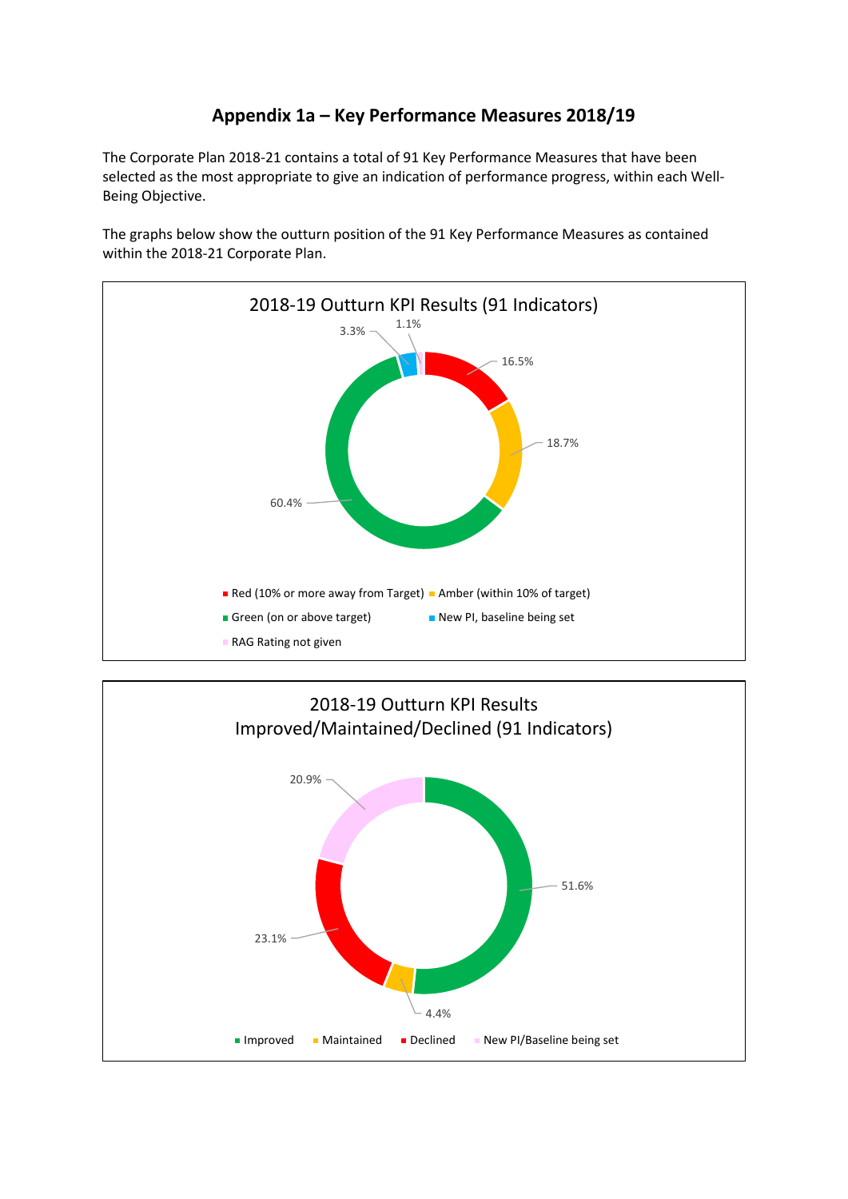# **Appendix 1a – Key Performance Measures 2018/19**

The Corporate Plan 2018-21 contains a total of 91 Key Performance Measures that have been selected as the most appropriate to give an indication of performance progress, within each Well-Being Objective.

The graphs below show the outturn position of the 91 Key Performance Measures as contained within the 2018-21 Corporate Plan.



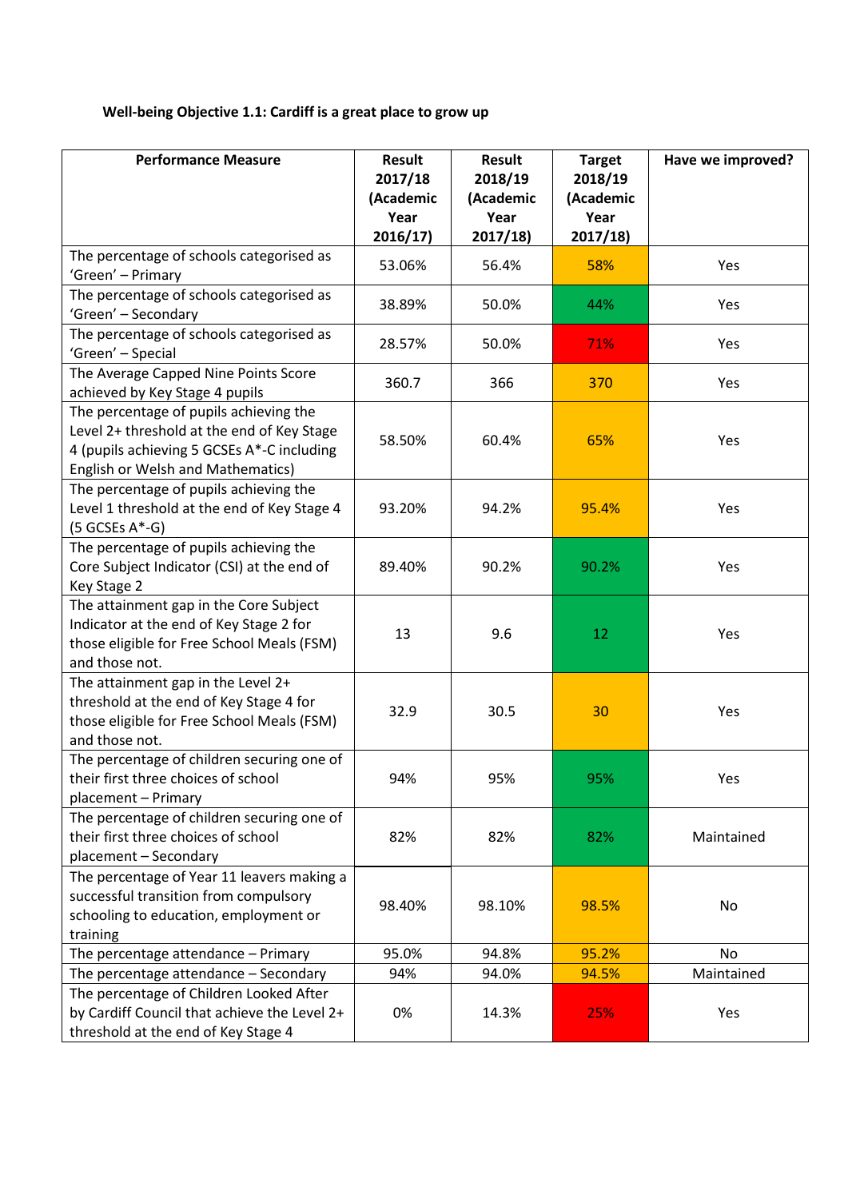## **Well-being Objective 1.1: Cardiff is a great place to grow up**

| <b>Performance Measure</b>                                                                                                                                                     | <b>Result</b><br>2017/18<br>(Academic<br>Year<br>2016/17) | <b>Result</b><br>2018/19<br>(Academic<br>Year<br>2017/18 | <b>Target</b><br>2018/19<br>(Academic<br>Year<br>2017/18 | Have we improved? |
|--------------------------------------------------------------------------------------------------------------------------------------------------------------------------------|-----------------------------------------------------------|----------------------------------------------------------|----------------------------------------------------------|-------------------|
| The percentage of schools categorised as<br>'Green' - Primary                                                                                                                  | 53.06%                                                    | 56.4%                                                    | 58%                                                      | Yes               |
| The percentage of schools categorised as<br>'Green' - Secondary                                                                                                                | 38.89%                                                    | 50.0%                                                    | 44%                                                      | Yes               |
| The percentage of schools categorised as<br>'Green' - Special                                                                                                                  | 28.57%                                                    | 50.0%                                                    | 71%                                                      | Yes               |
| The Average Capped Nine Points Score<br>achieved by Key Stage 4 pupils                                                                                                         | 360.7                                                     | 366                                                      | 370                                                      | Yes               |
| The percentage of pupils achieving the<br>Level 2+ threshold at the end of Key Stage<br>4 (pupils achieving 5 GCSEs A*-C including<br><b>English or Welsh and Mathematics)</b> | 58.50%                                                    | 60.4%                                                    | 65%                                                      | Yes               |
| The percentage of pupils achieving the<br>Level 1 threshold at the end of Key Stage 4<br>$(5 GCSEs A*-G)$                                                                      | 93.20%                                                    | 94.2%                                                    | 95.4%                                                    | Yes               |
| The percentage of pupils achieving the<br>Core Subject Indicator (CSI) at the end of<br>Key Stage 2                                                                            | 89.40%                                                    | 90.2%                                                    | 90.2%                                                    | Yes               |
| The attainment gap in the Core Subject<br>Indicator at the end of Key Stage 2 for<br>those eligible for Free School Meals (FSM)<br>and those not.                              | 13                                                        | 9.6                                                      | 12                                                       | Yes               |
| The attainment gap in the Level 2+<br>threshold at the end of Key Stage 4 for<br>those eligible for Free School Meals (FSM)<br>and those not.                                  | 32.9                                                      | 30.5                                                     | 30                                                       | Yes               |
| The percentage of children securing one of<br>their first three choices of school<br>placement - Primary                                                                       | 94%                                                       | 95%                                                      | 95%                                                      | Yes               |
| The percentage of children securing one of<br>their first three choices of school<br>placement - Secondary                                                                     | 82%                                                       | 82%                                                      | 82%                                                      | Maintained        |
| The percentage of Year 11 leavers making a<br>successful transition from compulsory<br>schooling to education, employment or<br>training                                       | 98.40%                                                    | 98.10%                                                   | 98.5%                                                    | No                |
| The percentage attendance - Primary                                                                                                                                            | 95.0%                                                     | 94.8%                                                    | 95.2%                                                    | No                |
| The percentage attendance - Secondary                                                                                                                                          | 94%                                                       | 94.0%                                                    | 94.5%                                                    | Maintained        |
| The percentage of Children Looked After<br>by Cardiff Council that achieve the Level 2+<br>threshold at the end of Key Stage 4                                                 | 0%                                                        | 14.3%                                                    | 25%                                                      | Yes               |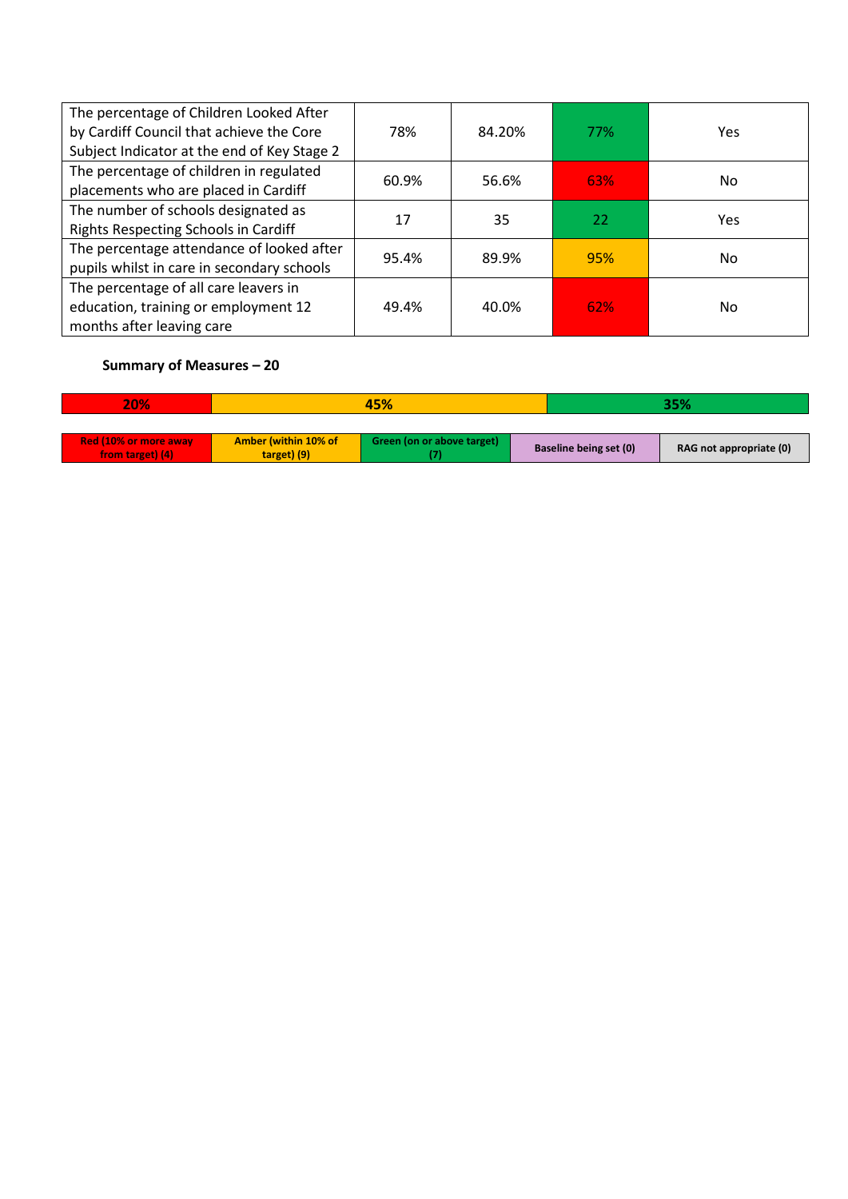| The percentage of Children Looked After<br>by Cardiff Council that achieve the Core | 78%   | 84.20% | 77%        | Yes |
|-------------------------------------------------------------------------------------|-------|--------|------------|-----|
| Subject Indicator at the end of Key Stage 2                                         |       |        |            |     |
| The percentage of children in regulated                                             | 60.9% | 56.6%  | <b>63%</b> | No. |
| placements who are placed in Cardiff                                                |       |        |            |     |
| The number of schools designated as                                                 | 17    | 35     | 22         | Yes |
| Rights Respecting Schools in Cardiff                                                |       |        |            |     |
| The percentage attendance of looked after                                           | 95.4% | 89.9%  | 95%        | No. |
| pupils whilst in care in secondary schools                                          |       |        |            |     |
| The percentage of all care leavers in                                               |       |        |            |     |
| education, training or employment 12                                                | 49.4% | 40.0%  | <b>62%</b> | No. |
| months after leaving care                                                           |       |        |            |     |

| 20%                          | 45%                  |                            |                        | 35% |                         |
|------------------------------|----------------------|----------------------------|------------------------|-----|-------------------------|
|                              |                      |                            |                        |     |                         |
| <b>Red (10% or more away</b> | Amber (within 10% of | Green (on or above target) |                        |     | RAG not appropriate (0) |
| from target) (4)             | target) (9)          |                            | Baseline being set (0) |     |                         |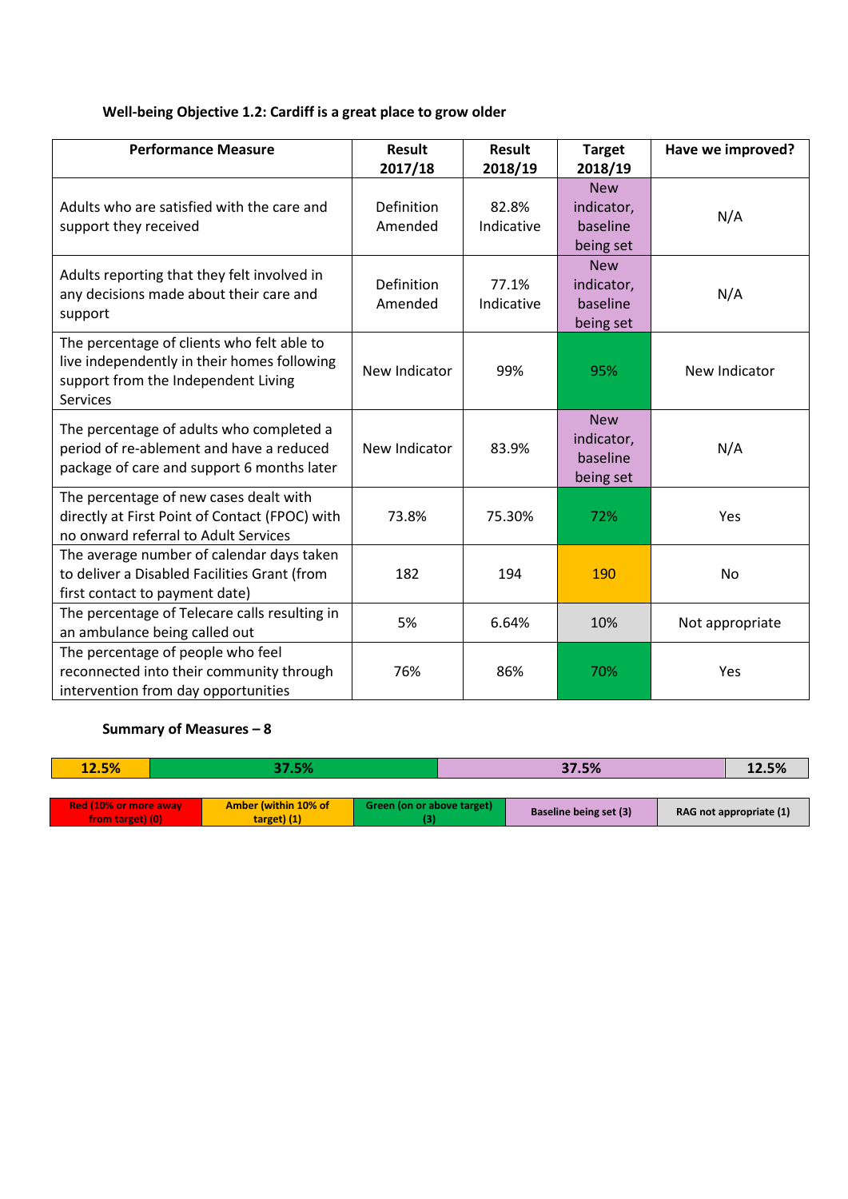## **Well-being Objective 1.2: Cardiff is a great place to grow older**

| <b>Performance Measure</b>                                                                                                                          | <b>Result</b><br>2017/18     | <b>Result</b><br>2018/19 | <b>Target</b><br>2018/19                          | Have we improved? |
|-----------------------------------------------------------------------------------------------------------------------------------------------------|------------------------------|--------------------------|---------------------------------------------------|-------------------|
| Adults who are satisfied with the care and<br>support they received                                                                                 | <b>Definition</b><br>Amended | 82.8%<br>Indicative      | <b>New</b><br>indicator,<br>baseline<br>being set | N/A               |
| Adults reporting that they felt involved in<br>any decisions made about their care and<br>support                                                   | <b>Definition</b><br>Amended | 77.1%<br>Indicative      | <b>New</b><br>indicator,<br>baseline<br>being set | N/A               |
| The percentage of clients who felt able to<br>live independently in their homes following<br>support from the Independent Living<br><b>Services</b> | New Indicator                | 99%                      | 95%                                               | New Indicator     |
| The percentage of adults who completed a<br>period of re-ablement and have a reduced<br>package of care and support 6 months later                  | New Indicator                | 83.9%                    | <b>New</b><br>indicator,<br>baseline<br>being set | N/A               |
| The percentage of new cases dealt with<br>directly at First Point of Contact (FPOC) with<br>no onward referral to Adult Services                    | 73.8%                        | 75.30%                   | 72%                                               | Yes               |
| The average number of calendar days taken<br>to deliver a Disabled Facilities Grant (from<br>first contact to payment date)                         | 182                          | 194                      | 190                                               | <b>No</b>         |
| The percentage of Telecare calls resulting in<br>an ambulance being called out                                                                      | 5%                           | 6.64%                    | 10%                                               | Not appropriate   |
| The percentage of people who feel<br>reconnected into their community through<br>intervention from day opportunities                                | 76%                          | 86%                      | 70%                                               | Yes               |

| 12.5%                        | 37.5%                       |                            | 37.5%                         | 12.5%                   |  |
|------------------------------|-----------------------------|----------------------------|-------------------------------|-------------------------|--|
|                              |                             |                            |                               |                         |  |
| <b>Red (10% or more away</b> | <b>Amber (within 10% of</b> | Green (on or above target) | <b>Baseline being set (3)</b> |                         |  |
| from target) (0)             | $target)$ (1)               |                            |                               | RAG not appropriate (1) |  |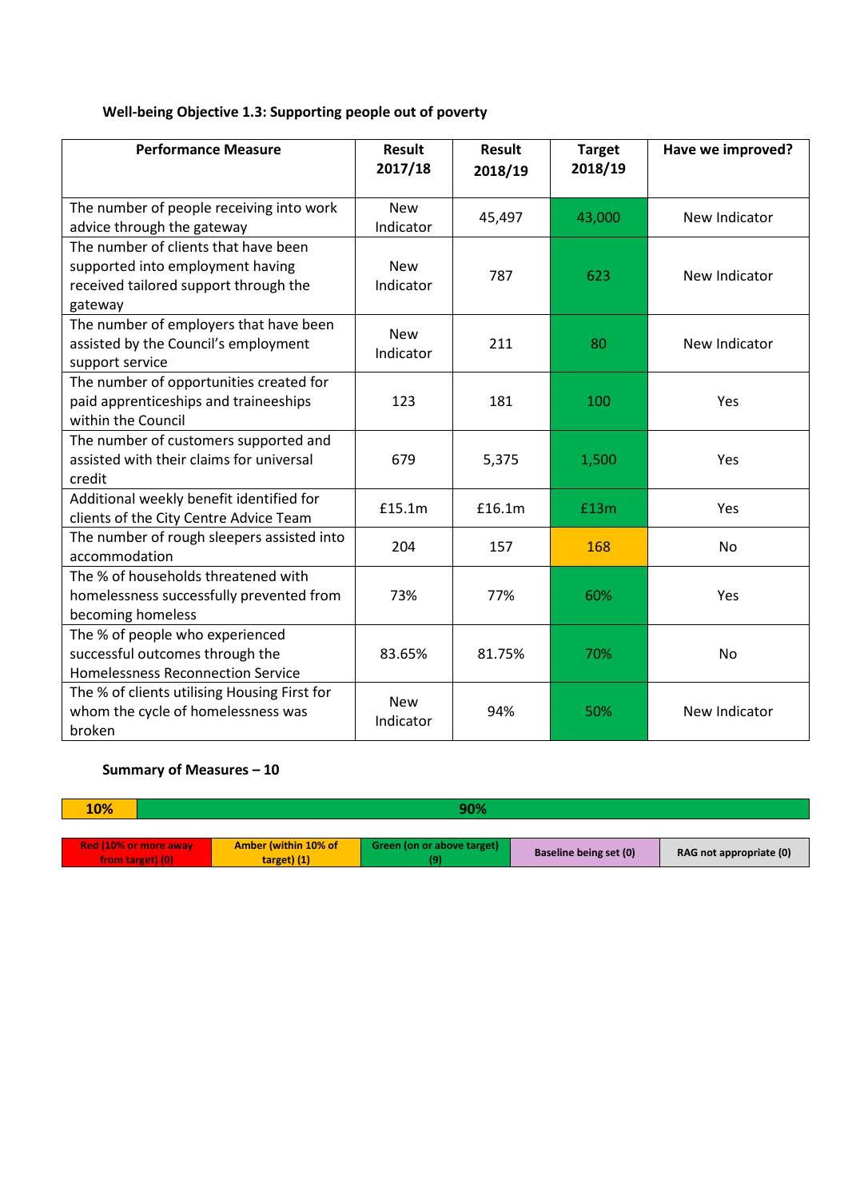## **Well-being Objective 1.3: Supporting people out of poverty**

| <b>Performance Measure</b>                   | <b>Result</b><br>2017/18 | Result<br>2018/19 | <b>Target</b><br>2018/19 | Have we improved? |
|----------------------------------------------|--------------------------|-------------------|--------------------------|-------------------|
|                                              |                          |                   |                          |                   |
| The number of people receiving into work     | <b>New</b>               | 45,497            | 43,000                   | New Indicator     |
| advice through the gateway                   | Indicator                |                   |                          |                   |
| The number of clients that have been         |                          |                   |                          |                   |
| supported into employment having             | <b>New</b>               | 787               | 623                      | New Indicator     |
| received tailored support through the        | Indicator                |                   |                          |                   |
| gateway                                      |                          |                   |                          |                   |
| The number of employers that have been       | <b>New</b>               |                   |                          |                   |
| assisted by the Council's employment         | Indicator                | 211               | 80                       | New Indicator     |
| support service                              |                          |                   |                          |                   |
| The number of opportunities created for      |                          |                   |                          |                   |
| paid apprenticeships and traineeships        | 123                      | 181               | 100                      | Yes               |
| within the Council                           |                          |                   |                          |                   |
| The number of customers supported and        |                          |                   |                          |                   |
| assisted with their claims for universal     | 679                      | 5,375             | 1,500                    | Yes               |
| credit                                       |                          |                   |                          |                   |
| Additional weekly benefit identified for     | £15.1m                   | £16.1m            | £13m                     | Yes               |
| clients of the City Centre Advice Team       |                          |                   |                          |                   |
| The number of rough sleepers assisted into   | 204                      | 157               | 168                      | No                |
| accommodation                                |                          |                   |                          |                   |
| The % of households threatened with          |                          |                   |                          |                   |
| homelessness successfully prevented from     | 73%                      | 77%               | 60%                      | Yes               |
| becoming homeless                            |                          |                   |                          |                   |
| The % of people who experienced              |                          |                   |                          |                   |
| successful outcomes through the              | 83.65%                   | 81.75%            | 70%                      | <b>No</b>         |
| <b>Homelessness Reconnection Service</b>     |                          |                   |                          |                   |
| The % of clients utilising Housing First for | <b>New</b>               |                   |                          |                   |
| whom the cycle of homelessness was           | Indicator                | 94%               | 50%                      | New Indicator     |
| broken                                       |                          |                   |                          |                   |

| <b>10%</b>                                | 90% |                                            |                            |                        |                         |  |  |
|-------------------------------------------|-----|--------------------------------------------|----------------------------|------------------------|-------------------------|--|--|
|                                           |     |                                            |                            |                        |                         |  |  |
| Red (10% or more away<br>from target) (0) |     | <b>Amber (within 10% of</b><br>target) (1) | Green (on or above target) | Baseline being set (0) | RAG not appropriate (0) |  |  |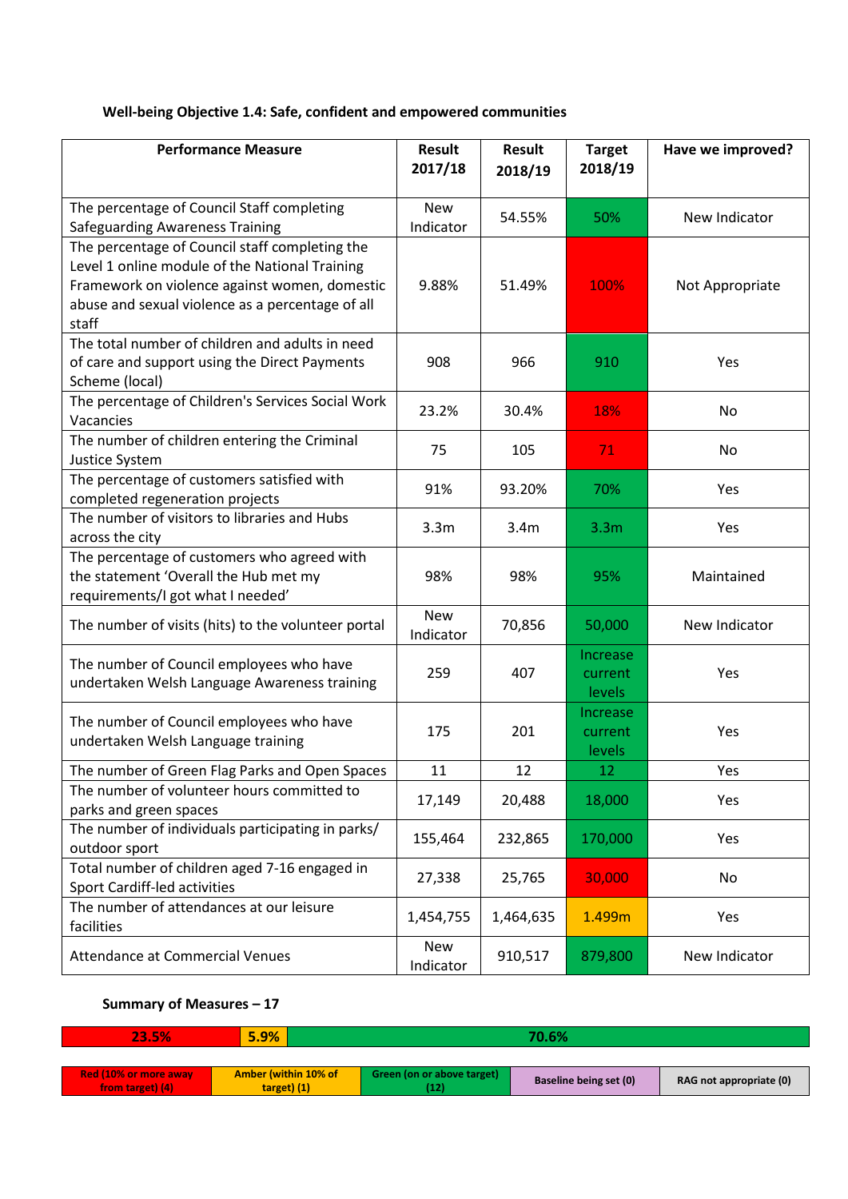## **Well-being Objective 1.4: Safe, confident and empowered communities**

| <b>Performance Measure</b>                                                                                                                                                                                     | Result<br>2017/18       | <b>Result</b><br>2018/19 | <b>Target</b><br>2018/19      | Have we improved? |
|----------------------------------------------------------------------------------------------------------------------------------------------------------------------------------------------------------------|-------------------------|--------------------------|-------------------------------|-------------------|
| The percentage of Council Staff completing<br><b>Safeguarding Awareness Training</b>                                                                                                                           | <b>New</b><br>Indicator | 54.55%                   | 50%                           | New Indicator     |
| The percentage of Council staff completing the<br>Level 1 online module of the National Training<br>Framework on violence against women, domestic<br>abuse and sexual violence as a percentage of all<br>staff | 9.88%                   | 51.49%                   | 100%                          | Not Appropriate   |
| The total number of children and adults in need<br>of care and support using the Direct Payments<br>Scheme (local)                                                                                             | 908                     | 966                      | 910                           | Yes               |
| The percentage of Children's Services Social Work<br>Vacancies                                                                                                                                                 | 23.2%                   | 30.4%                    | 18%                           | No                |
| The number of children entering the Criminal<br>Justice System                                                                                                                                                 | 75                      | 105                      | 71                            | No                |
| The percentage of customers satisfied with<br>completed regeneration projects                                                                                                                                  | 91%                     | 93.20%                   | 70%                           | Yes               |
| The number of visitors to libraries and Hubs<br>across the city                                                                                                                                                | 3.3 <sub>m</sub>        | 3.4m                     | 3.3 <sub>m</sub>              | Yes               |
| The percentage of customers who agreed with<br>the statement 'Overall the Hub met my<br>requirements/I got what I needed'                                                                                      | 98%                     | 98%                      | 95%                           | Maintained        |
| The number of visits (hits) to the volunteer portal                                                                                                                                                            | <b>New</b><br>Indicator | 70,856                   | 50,000                        | New Indicator     |
| The number of Council employees who have<br>undertaken Welsh Language Awareness training                                                                                                                       | 259                     | 407                      | Increase<br>current<br>levels | Yes               |
| The number of Council employees who have<br>undertaken Welsh Language training                                                                                                                                 | 175                     | 201                      | Increase<br>current<br>levels | Yes               |
| The number of Green Flag Parks and Open Spaces                                                                                                                                                                 | 11                      | 12                       | 12                            | <b>Yes</b>        |
| The number of volunteer hours committed to<br>parks and green spaces                                                                                                                                           | 17,149                  | 20,488                   | 18,000                        | Yes               |
| The number of individuals participating in parks/<br>outdoor sport                                                                                                                                             | 155,464                 | 232,865                  | 170,000                       | Yes               |
| Total number of children aged 7-16 engaged in<br>Sport Cardiff-led activities                                                                                                                                  | 27,338                  | 25,765                   | 30,000                        | No                |
| The number of attendances at our leisure<br>facilities                                                                                                                                                         | 1,454,755               | 1,464,635                | 1.499m                        | Yes               |
| <b>Attendance at Commercial Venues</b>                                                                                                                                                                         | <b>New</b><br>Indicator | 910,517                  | 879,800                       | New Indicator     |

| 23.5%                                            | 5.9%                                  |                                    |                        |                         |
|--------------------------------------------------|---------------------------------------|------------------------------------|------------------------|-------------------------|
|                                                  |                                       |                                    |                        |                         |
| <b>Red (10% or more away</b><br>from target) (4) | Amber (within 10% of<br>$target)$ (1) | Green (on or above target)<br>[12] | Baseline being set (0) | RAG not appropriate (0) |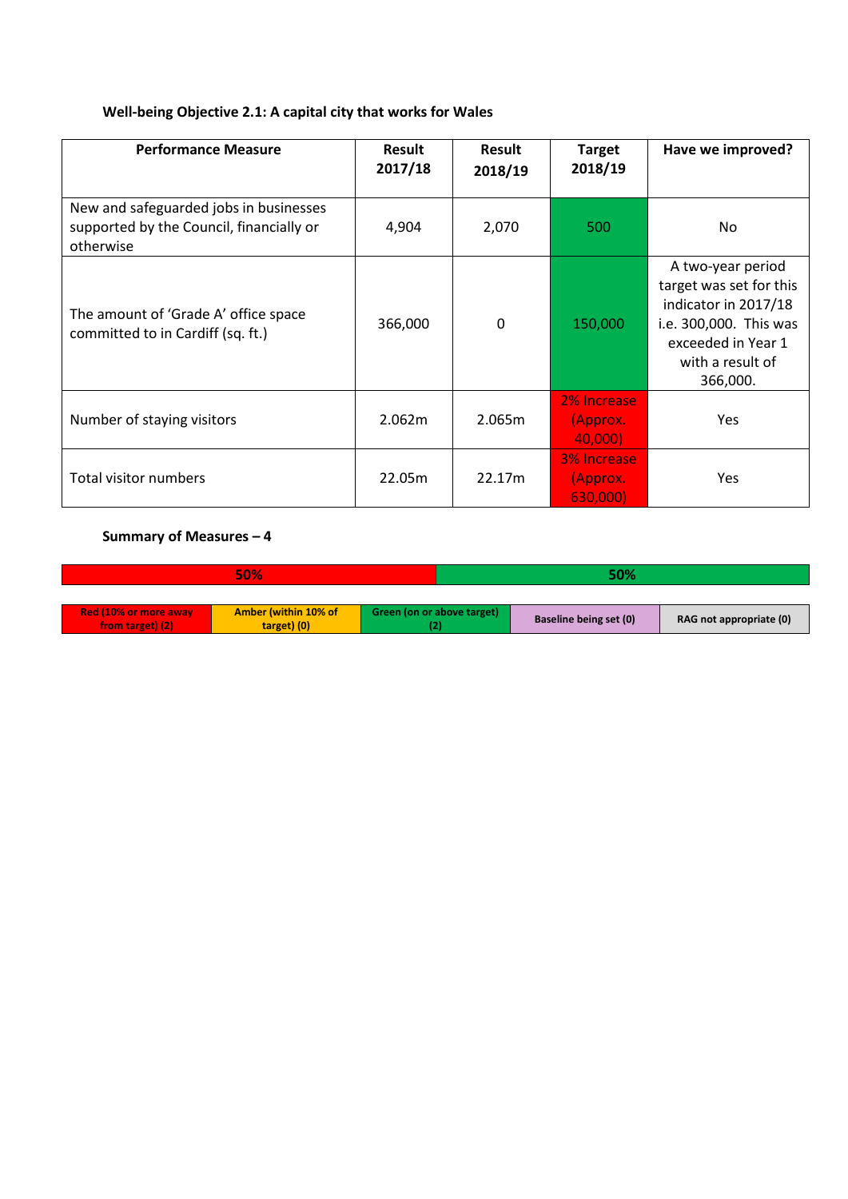## **Well-being Objective 2.1: A capital city that works for Wales**

| <b>Performance Measure</b>                                                                      | Result<br>2017/18 | Result<br>2018/19 | <b>Target</b><br>2018/19                  | Have we improved?                                                                                                                                    |
|-------------------------------------------------------------------------------------------------|-------------------|-------------------|-------------------------------------------|------------------------------------------------------------------------------------------------------------------------------------------------------|
| New and safeguarded jobs in businesses<br>supported by the Council, financially or<br>otherwise | 4,904             | 2,070             | 500                                       | No.                                                                                                                                                  |
| The amount of 'Grade A' office space<br>committed to in Cardiff (sq. ft.)                       | 366,000           | $\mathbf{0}$      | 150,000                                   | A two-year period<br>target was set for this<br>indicator in 2017/18<br>i.e. 300,000. This was<br>exceeded in Year 1<br>with a result of<br>366,000. |
| Number of staying visitors                                                                      | 2.062m            | 2.065m            | 2% Increase<br>(Approx.<br>40,000)        | <b>Yes</b>                                                                                                                                           |
| Total visitor numbers                                                                           | 22.05m            | 22.17m            | <b>3% Increase</b><br>(Approx.<br>630,000 | <b>Yes</b>                                                                                                                                           |

| 50%                                              |                                            |                            | <b>50%</b>             |                         |  |
|--------------------------------------------------|--------------------------------------------|----------------------------|------------------------|-------------------------|--|
|                                                  |                                            |                            |                        |                         |  |
| <b>Red (10% or more away</b><br>from target) (2) | <b>Amber (within 10% of</b><br>target) (0) | Green (on or above target) | Baseline being set (0) | RAG not appropriate (0) |  |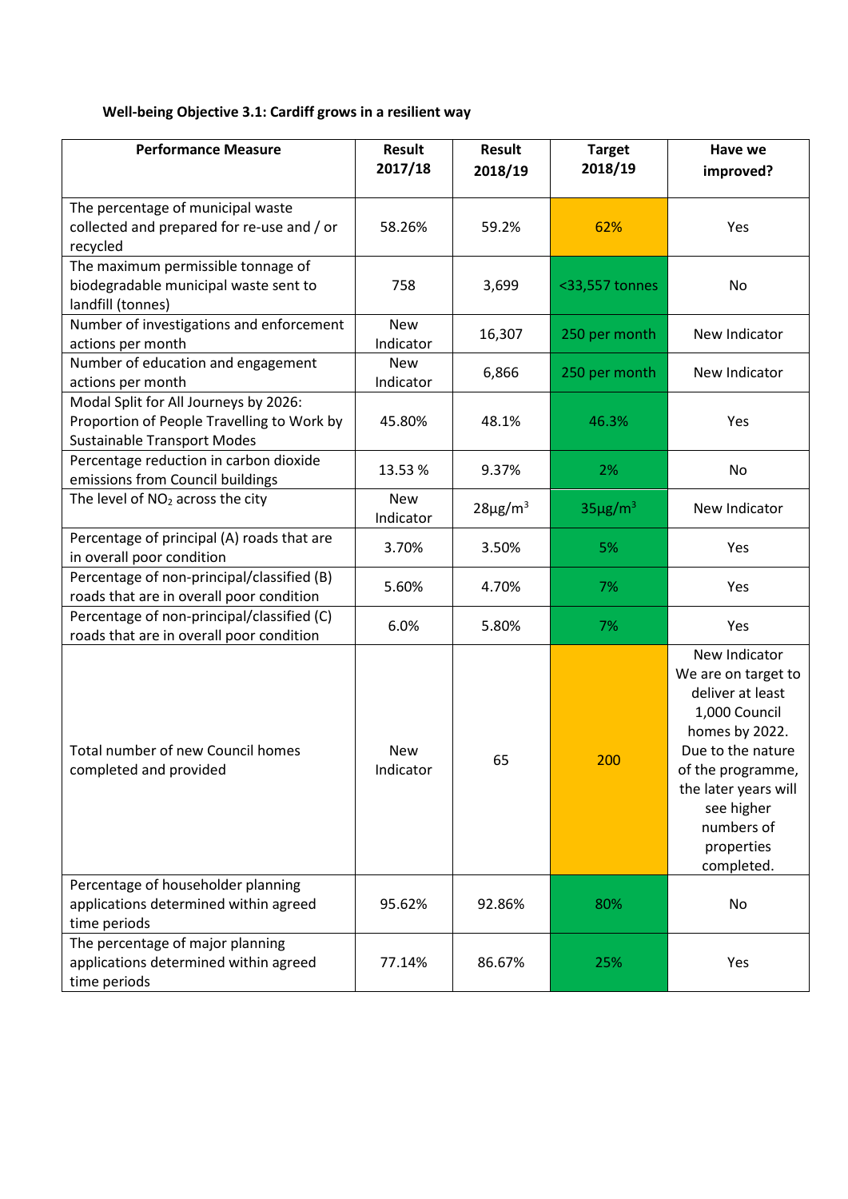# **Well-being Objective 3.1: Cardiff grows in a resilient way**

| <b>Performance Measure</b>                                                                                                | <b>Result</b><br>2017/18 | <b>Result</b><br>2018/19 | <b>Target</b><br>2018/19 | Have we<br>improved?                                                                                                                                                                                                  |
|---------------------------------------------------------------------------------------------------------------------------|--------------------------|--------------------------|--------------------------|-----------------------------------------------------------------------------------------------------------------------------------------------------------------------------------------------------------------------|
| The percentage of municipal waste<br>collected and prepared for re-use and / or<br>recycled                               | 58.26%                   | 59.2%                    | 62%                      | Yes                                                                                                                                                                                                                   |
| The maximum permissible tonnage of<br>biodegradable municipal waste sent to<br>landfill (tonnes)                          | 758                      | 3,699                    | <33,557 tonnes           | No                                                                                                                                                                                                                    |
| Number of investigations and enforcement<br>actions per month                                                             | <b>New</b><br>Indicator  | 16,307                   | 250 per month            | New Indicator                                                                                                                                                                                                         |
| Number of education and engagement<br>actions per month                                                                   | <b>New</b><br>Indicator  | 6,866                    | 250 per month            | New Indicator                                                                                                                                                                                                         |
| Modal Split for All Journeys by 2026:<br>Proportion of People Travelling to Work by<br><b>Sustainable Transport Modes</b> | 45.80%                   | 48.1%                    | 46.3%                    | Yes                                                                                                                                                                                                                   |
| Percentage reduction in carbon dioxide<br>emissions from Council buildings                                                | 13.53%                   | 9.37%                    | 2%                       | No                                                                                                                                                                                                                    |
| The level of NO <sub>2</sub> across the city                                                                              | <b>New</b><br>Indicator  | $28\mu g/m^3$            | $35\mu g/m^3$            | New Indicator                                                                                                                                                                                                         |
| Percentage of principal (A) roads that are<br>in overall poor condition                                                   | 3.70%                    | 3.50%                    | 5%                       | Yes                                                                                                                                                                                                                   |
| Percentage of non-principal/classified (B)<br>roads that are in overall poor condition                                    | 5.60%                    | 4.70%                    | 7%                       | Yes                                                                                                                                                                                                                   |
| Percentage of non-principal/classified (C)<br>roads that are in overall poor condition                                    | 6.0%                     | 5.80%                    | 7%                       | Yes                                                                                                                                                                                                                   |
| Total number of new Council homes<br>completed and provided                                                               | <b>New</b><br>Indicator  | 65                       | 200                      | New Indicator<br>We are on target to<br>deliver at least<br>1,000 Council<br>homes by 2022.<br>Due to the nature<br>of the programme,<br>the later years will<br>see higher<br>numbers of<br>properties<br>completed. |
| Percentage of householder planning<br>applications determined within agreed<br>time periods                               | 95.62%                   | 92.86%                   | 80%                      | No                                                                                                                                                                                                                    |
| The percentage of major planning<br>applications determined within agreed<br>time periods                                 | 77.14%                   | 86.67%                   | 25%                      | Yes                                                                                                                                                                                                                   |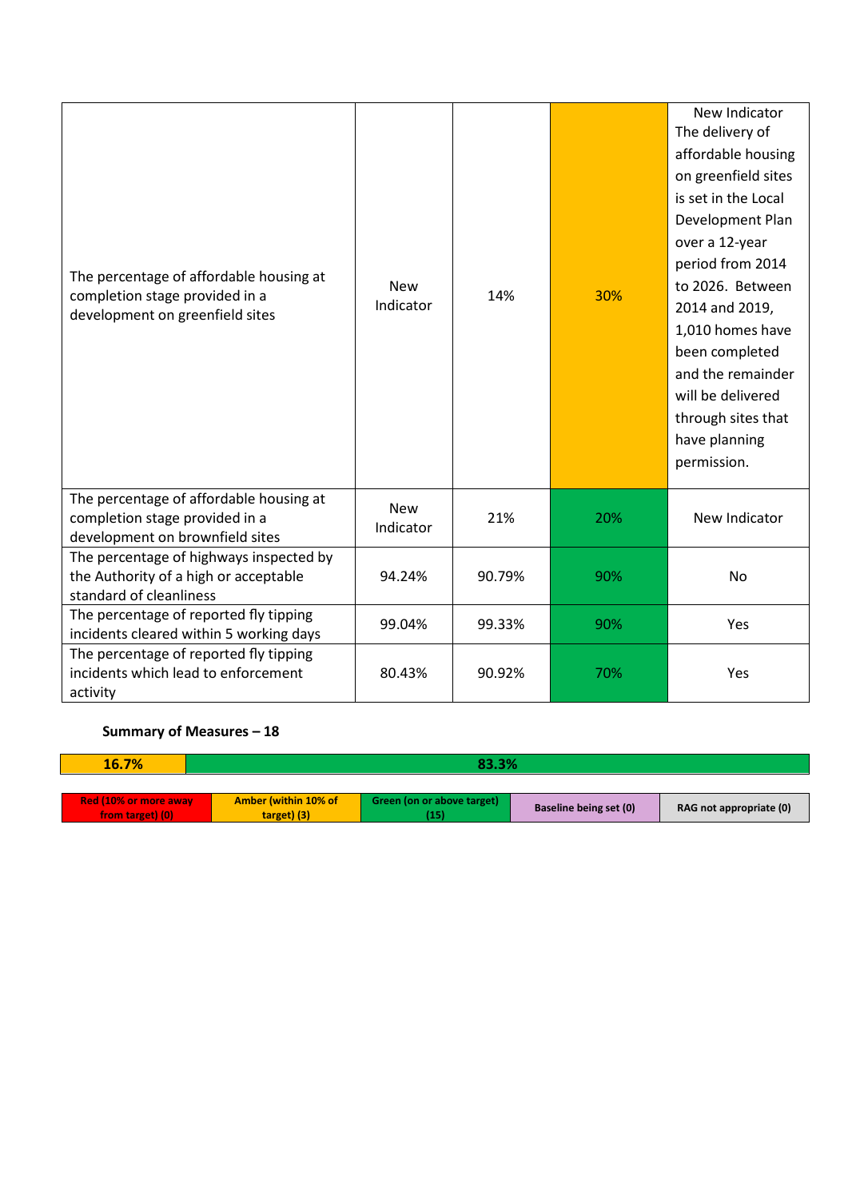| The percentage of affordable housing at<br>completion stage provided in a<br>development on greenfield sites | <b>New</b><br>Indicator | 14%    | 30% | New Indicator<br>The delivery of<br>affordable housing<br>on greenfield sites<br>is set in the Local<br>Development Plan<br>over a 12-year<br>period from 2014<br>to 2026. Between<br>2014 and 2019,<br>1,010 homes have<br>been completed<br>and the remainder<br>will be delivered<br>through sites that<br>have planning<br>permission. |
|--------------------------------------------------------------------------------------------------------------|-------------------------|--------|-----|--------------------------------------------------------------------------------------------------------------------------------------------------------------------------------------------------------------------------------------------------------------------------------------------------------------------------------------------|
| The percentage of affordable housing at<br>completion stage provided in a<br>development on brownfield sites | <b>New</b><br>Indicator | 21%    | 20% | New Indicator                                                                                                                                                                                                                                                                                                                              |
| The percentage of highways inspected by<br>the Authority of a high or acceptable<br>standard of cleanliness  | 94.24%                  | 90.79% | 90% | No                                                                                                                                                                                                                                                                                                                                         |
| The percentage of reported fly tipping<br>incidents cleared within 5 working days                            | 99.04%                  | 99.33% | 90% | Yes                                                                                                                                                                                                                                                                                                                                        |
| The percentage of reported fly tipping<br>incidents which lead to enforcement<br>activity                    | 80.43%                  | 90.92% | 70% | Yes                                                                                                                                                                                                                                                                                                                                        |

| 16.7%                                            | 83.3%                               |                                   |                        |                         |  |
|--------------------------------------------------|-------------------------------------|-----------------------------------|------------------------|-------------------------|--|
|                                                  |                                     |                                   |                        |                         |  |
| <b>Red (10% or more away</b><br>from target) (0) | Amber (within 10% of<br>target) (3) | Green (on or above target)<br>15) | Baseline being set (0) | RAG not appropriate (0) |  |